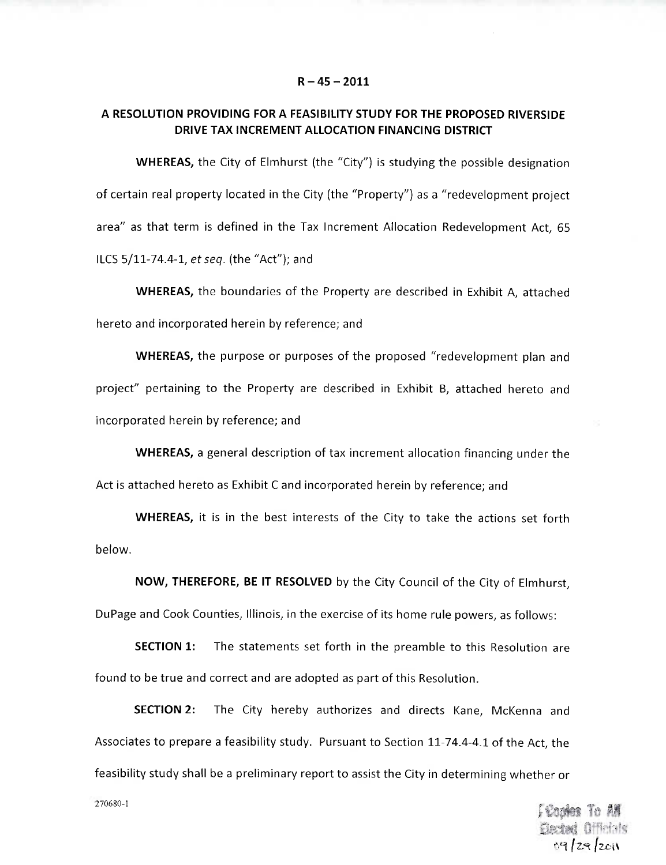#### **R- 45 -2011**

# **A RESOLUTION PROVIDING FOR A FEASIBILITY STUDY FOR THE PROPOSED RIVERSIDE DRIVE TAX INCREMENT ALLOCATION FINANCING DISTRICT**

**WHEREAS,** the City of Elmhurst (the "City") is studying the possible designation of certain real property located in the City (the "Property") as a "redevelopment project area" as that term is defined in the Tax Increment Allocation Redevelopment Act, 65 ILCS  $5/11-74.4-1$ , et seq. (the "Act"); and

**WHEREAS,** the boundaries of the Property are described in Exhibit A, attached hereto and incorporated herein by reference; and

**WHEREAS,** the purpose or purposes of the proposed "redevelopment plan and project" pertaining to the Property are described in Exhibit B, attached hereto and incorporated herein by reference; and

**WHEREAS,** a general description of tax increment allocation financing under the Act is attached hereto as Exhibit C and incorporated herein by reference; and

**WHEREAS,** it is in the best interests of the City to take the actions set forth below.

**NOW, THEREFORE, BE IT RESOLVED** by the City Council of the City of Elmhurst, DuPage and Cook Counties, Illinois, in the exercise of its home rule powers, as follows:

**SECTION 1:** The statements set forth in the preamble to this Resolution are found to be true and correct and are adopted as part of this Resolution.

**SECTION 2:** The City hereby authorizes and directs Kane, McKenna and Associates to prepare a feasibility study. Pursuant to Section 11-74.4-4.1 of the Act, the feasibility study shall be a preliminary report to assist the City in determining whether or

> i Cank **Bected** Officials09/29/2011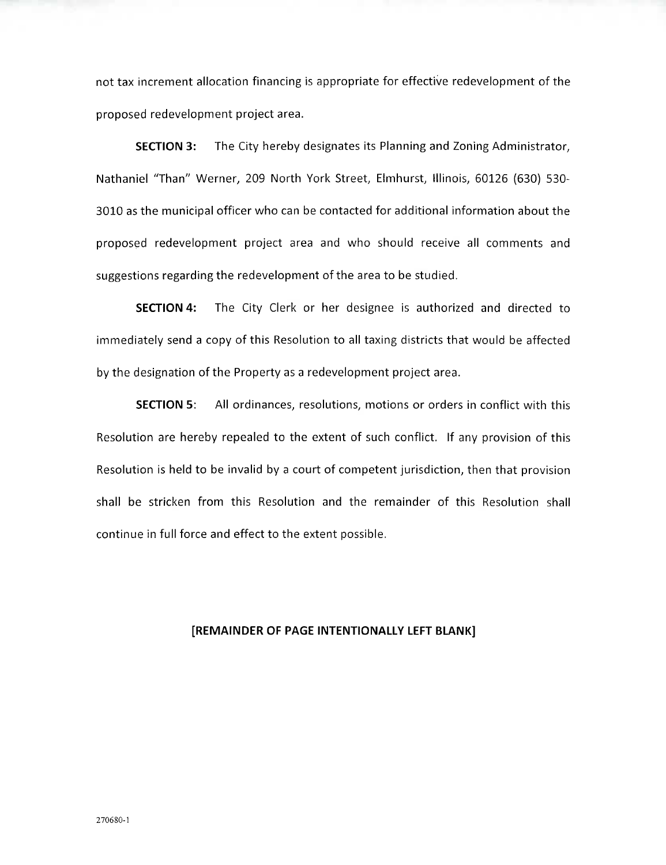not tax increment allocation financing is appropriate for effective redevelopment of the proposed redevelopment project area.

**SECTION 3:** The City hereby designates its Planning and Zoning Administrator, Nathaniel "Than" Werner, 209 North York Street, Elmhurst, Illinois, 60126 (630) 530- 3010 as the municipal officer who can be contacted for additional information about the proposed redevelopment project area and who should receive all comments and suggestions regarding the redevelopment of the area to be studied.

**SECTION 4:** The City Clerk or her designee is authorized and directed to immediately send a copy of this Resolution to all taxing districts that would be affected by the designation of the Property as a redevelopment project area.

**SECTION** 5: All ordinances, resolutions, motions or orders in conflict with this Resolution are hereby repealed to the extent of such conflict. If any provision of this Resolution is held to be invalid by a court of competent jurisdiction, then that provision shall be stricken from this Resolution and the remainder of this Resolution shall continue in full force and effect to the extent possible.

#### **[REMAINDER OF PAGE INTENTIONALLY LEFT BLANK]**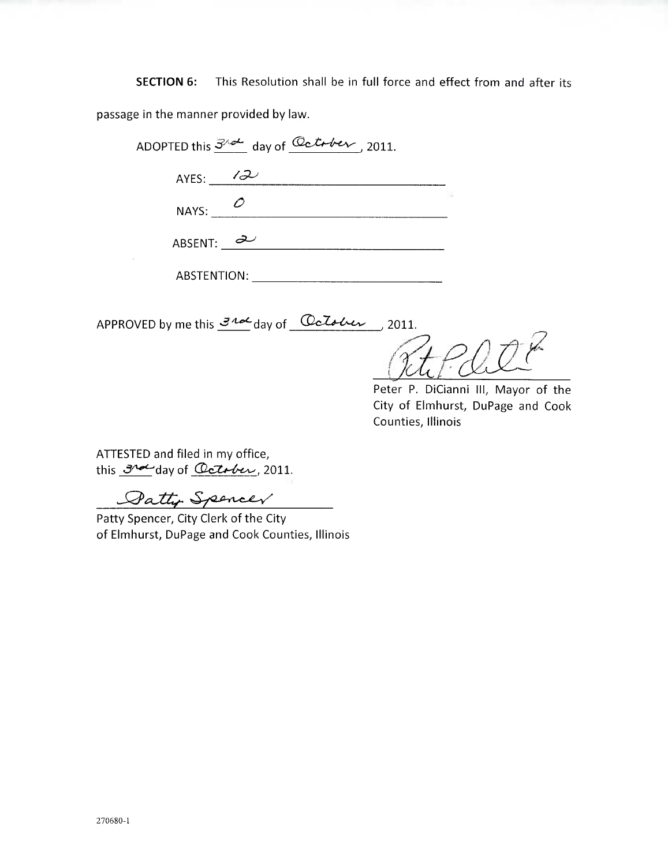**SECTION 6:** This Resolution shall be in full force and effect from and after its passage in the manner provided by law.

|                           | ADOPTED this $3^{\sqrt{\alpha}}$ day of Catrber, 2011. |  |
|---------------------------|--------------------------------------------------------|--|
| AYES: $\overline{\omega}$ |                                                        |  |
| NAYS: $\omega$            |                                                        |  |
| ABSENT: $\partial$        |                                                        |  |

ABSTENTION:

APPROVED by me this  $\mathcal{I}^{\mathcal{A}\mathcal{A}}$  day of  $\Box$  delelver , 2011.

Peter P. DiCianni III, Mayor of the City of Elmhurst, DuPage and Cook Counties, Illinois

ATTESTED and filed in my office, this  $3^{\sim}$ day of Catober, 2011.

Datty Spencer

Patty Spencer, City Clerk of the City of Elmhurst, DuPage and Cook Counties, Illinois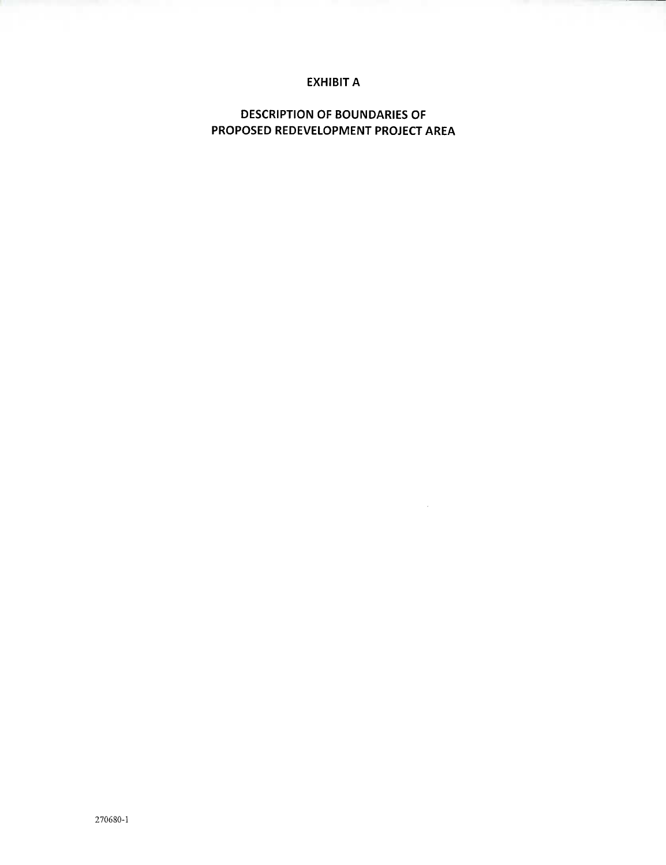# **EXHIBIT A**

**DESCRIPTION OF BOUNDARIES OF PROPOSED REDEVELOPMENT PROJECT AREA**

 $\sim 10^7$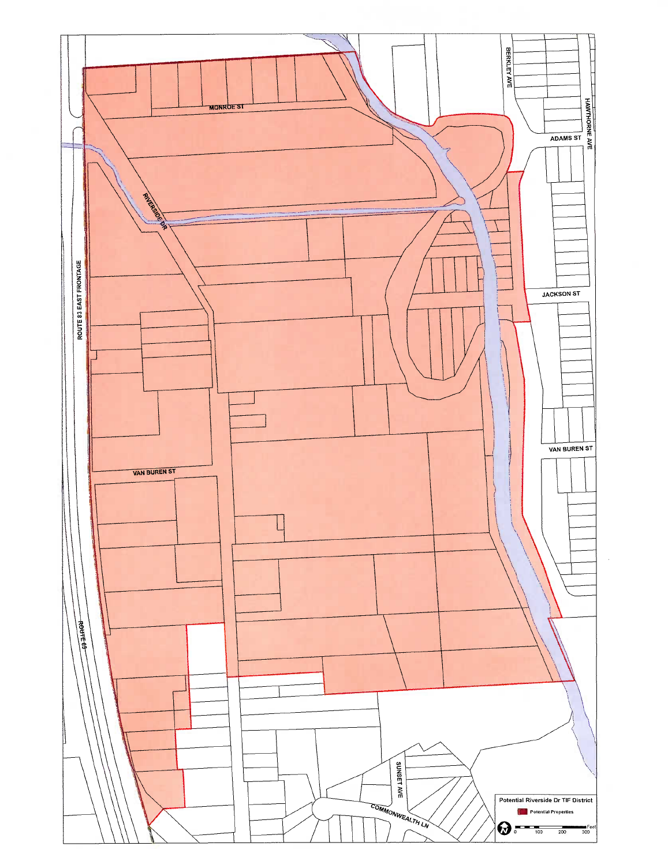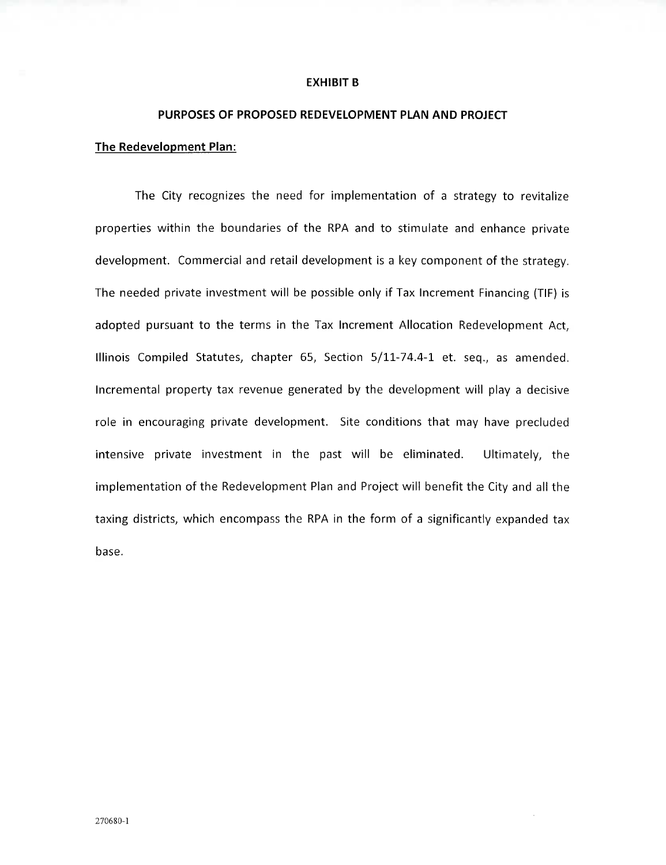#### **EXHIBIT B**

# **PURPOSES OF PROPOSED REDEVELOPMENT PLAN AND PROJECT**

# **The Redevelopment Plan:**

The City recognizes the need for implementation of a strategy to revitalize properties within the boundaries of the RPA and to stimulate and enhance private development. Commercial and retail development is a key component of the strategy. The needed private investment will be possible only if Tax Increment Financing (TIF) is adopted pursuant to the terms in the Tax Increment Allocation Redevelopment Act, Illinois Compiled Statutes, chapter 65, Section 5/11-74.4-1 et. seq., as amended. Incremental property tax revenue generated by the development will play a decisive role in encouraging private development. Site conditions that may have precluded intensive private investment in the past will be eliminated. Ultimately, the implementation of the Redevelopment Plan and Project will benefit the City and all the taxing districts, which encompass the RPA in the form of a significantly expanded tax base.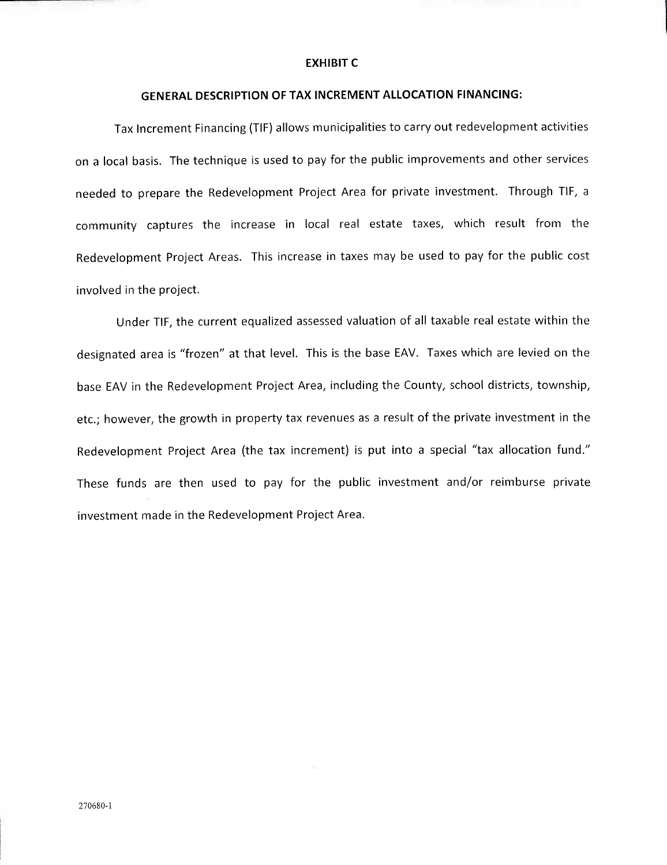#### **EXHIBIT C**

## **GENERAL DESCRIPTION OF TAX INCREMENT ALLOCATION FINANCING:**

Tax Increment Financing (TIP) allows municipalities to carry out redevelopment activities on a local basis. The technique is used to pay for the public improvements and other services needed to prepare the Redevelopment Project Area for private investment. Through TIP, a community captures the increase in local real estate taxes, which result from the Redevelopment Project Areas. This increase in taxes may be used to pay for the public cost involved in the project.

Under TIP, the current equalized assessed valuation of all taxable real estate within the designated area is "frozen" at that level. This is the base EAV. Taxes which are levied on the base EAV in the Redevelopment Project Area, including the County, school districts, township, etc.; however, the growth in property tax revenues as a result of the private investment in the Redevelopment Project Area (the tax increment) is put into a special "tax allocation fund." These funds are then used to pay for the public investment and/or reimburse private investment made in the Redevelopment Project Area.